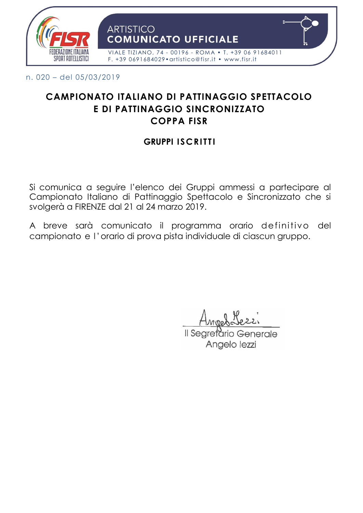

n. 020 – del 05/03/2019

# **CAMPIONATO ITALIANO DI PATTINAGGIO SPETTACOLO E DI PATTINAGGIO SINCRONIZZATO COPPA FISR**

## **GRUPPI ISCRITT I**

Si comunica a seguire l'elenco dei Gruppi ammessi a partecipare al Campionato Italiano di Pattinaggio Spettacolo e Sincronizzato che si svolgerà a FIRENZE dal 21 al 24 marzo 2019.

A breve sarà comunicato il programma orario definitivo del campionato e l 'orario di prova pista individuale di ciascun gruppo.

Il Segretario Generale Angelo lezzi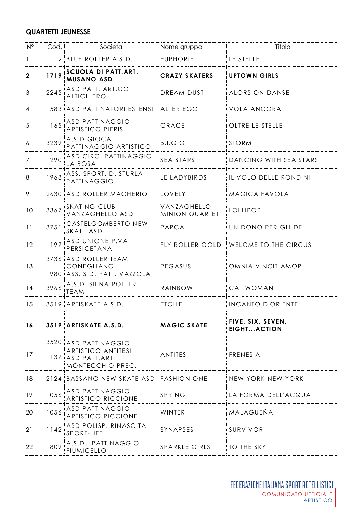#### **QUARTETTI JEUNESSE**

| $N^{\circ}$    | Cod.         | Società                                                                           | Nome gruppo                   | Titolo                           |
|----------------|--------------|-----------------------------------------------------------------------------------|-------------------------------|----------------------------------|
| 1              |              | 2 BLUE ROLLER A.S.D.                                                              | <b>EUPHORIE</b>               | LE STELLE                        |
| $\mathbf{2}$   | 1719         | SCUOLA DI PATT.ART.<br><b>MUSANO ASD</b>                                          | <b>CRAZY SKATERS</b>          | <b>UPTOWN GIRLS</b>              |
| $\mathfrak{S}$ | 2245         | ASD PATT. ART.CO<br><b>ALTICHIERO</b>                                             | DREAM DUST                    | ALORS ON DANSE                   |
| 4              |              | 1583 ASD PATTINATORI ESTENSI                                                      | ALTER EGO                     | <b>VOLA ANCORA</b>               |
| 5              | 165          | <b>ASD PATTINAGGIO</b><br><b>ARTISTICO PIERIS</b>                                 | GRACE                         | OLTRE LE STELLE                  |
| 6              | 3239         | A.S.D GIOCA<br>PATTINAGGIO ARTISTICO                                              | B.I.G.G.                      | <b>STORM</b>                     |
| $\overline{7}$ | 290          | ASD CIRC. PATTINAGGIO<br>LA ROSA                                                  | SEA STARS                     | DANCING WITH SEA STARS           |
| 8              | 1963         | ASS. SPORT. D. STURLA<br>PATTINAGGIO                                              | LE LADYBIRDS                  | IL VOLO DELLE RONDINI            |
| 9              |              | 2630 ASD ROLLER MACHERIO                                                          | LOVELY                        | <b>MAGICA FAVOLA</b>             |
| 10             | 3367         | <b>SKATING CLUB</b><br>VANZAGHELLO ASD                                            | VANZAGHELLO<br>MINION QUARTET | LOLLIPOP                         |
| 11             | 3751         | CASTELGOMBERTO NEW<br>SKATE ASD                                                   | PARCA                         | UN DONO PER GLI DEI              |
| 12             | 197          | ASD UNIONE P.VA<br>PERSICETANA                                                    | FLY ROLLER GOLD               | WELCME TO THE CIRCUS             |
| 13             |              | 3736 ASD ROLLER TEAM<br>CONEGLIANO<br>1980 ASS. S.D. PATT. VAZZOLA                | PEGASUS                       | OMNIA VINCIT AMOR                |
| 14             | 3966         | A.S.D. SIENA ROLLER<br><b>TEAM</b>                                                | RAINBOW                       | <b>CAT WOMAN</b>                 |
| 15             |              | 3519 ARTISKATE A.S.D.                                                             | <b>ETOILE</b>                 | <b>INCANTO D'ORIENTE</b>         |
| 16             |              | 3519 ARTISKATE A.S.D.                                                             | <b>MAGIC SKATE</b>            | FIVE, SIX, SEVEN,<br>EIGHTACTION |
| 17             | 3520<br>1137 | <b>ASD PATTINAGGIO</b><br>ARTISTICO ANTITESI<br>ASD PATT.ART.<br>MONTECCHIO PREC. | <b>ANTITESI</b>               | FRENESIA                         |
| 18             |              | 2124 BASSANO NEW SKATE ASD                                                        | <b>FASHION ONE</b>            | NEW YORK NEW YORK                |
| 19             | 1056         | <b>ASD PATTINAGGIO</b><br><b>ARTISTICO RICCIONE</b>                               | SPRING                        | LA FORMA DELL'ACQUA              |
| 20             | 1056         | <b>ASD PATTINAGGIO</b><br><b>ARTISTICO RICCIONE</b>                               | WINTER                        | MALAGUEŇA                        |
| 21             | 1142         | ASD POLISP. RINASCITA<br>SPORT-LIFE                                               | SYNAPSES                      | SURVIVOR                         |
| 22             | 809          | A.S.D. PATTINAGGIO<br><b>FIUMICELLO</b>                                           | <b>SPARKLE GIRLS</b>          | TO THE SKY                       |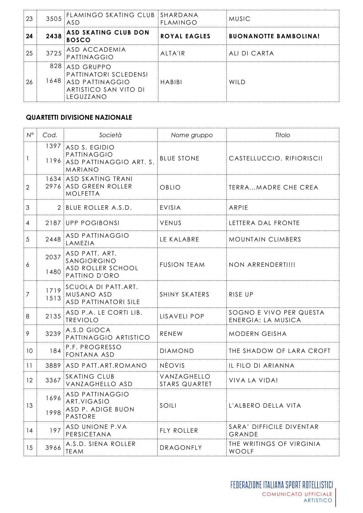| 23 | 3505        | FLAMINGO SKATING CLUB SHARDANA<br>ASD                                                        | FLAMINGO     | <b>MUSIC</b>                 |
|----|-------------|----------------------------------------------------------------------------------------------|--------------|------------------------------|
| 24 | 2438        | <b>ASD SKATING CLUB DON</b><br><b>BOSCO</b>                                                  | ROYAL EAGLES | <b>BUONANOTTE BAMBOLINA!</b> |
| 25 | 3725        | ASD ACCADEMIA<br>PATTINAGGIO                                                                 | ALTA'IR      | ALI DI CARTA                 |
| 26 | 828<br>1648 | ASD GRUPPO<br>PATTINATORI SCLEDENSI<br>ASD PATTINAGGIO<br>ARTISTICO SAN VITO DI<br>LEGUZZANO | HABIBI       | WII D                        |

#### **QUARTETTI DIVISIONE NAZIONALE**

| $N^{\circ}$    | Cod.         | Società                                                                      | Nome gruppo                  | Titolo                                        |
|----------------|--------------|------------------------------------------------------------------------------|------------------------------|-----------------------------------------------|
| 1              | 1397<br>1196 | ASD S. EGIDIO<br>PATTINAGGIO<br>ASD PATTINAGGIO ART. S.<br><b>MARIANO</b>    | <b>BLUE STONE</b>            | CASTELLUCCIO, RIFIORISCI!                     |
| $\overline{2}$ | 1634<br>2976 | ASD SKATING TRANI<br>ASD GREEN ROLLER<br><b>MOLFETTA</b>                     | OBLIO                        | TERRAMADRE CHE CREA                           |
| 3              | 2            | BLUE ROLLER A.S.D.                                                           | EVISIA                       | ARPIE                                         |
| 4              | 2187         | <b>UPP POGIBONSI</b>                                                         | VENUS                        | LETTERA DAL FRONTE                            |
| 5              | 2448         | <b>ASD PATTINAGGIO</b><br>LAMEZIA                                            | LE KALABRE                   | MOUNTAIN CLIMBERS                             |
| 6              | 2037<br>1480 | ASD PATT. ART.<br>SANGIORGINO<br>ASD ROLLER SCHOOL<br>PATTINO D'ORO          | <b>FUSION TEAM</b>           | NON ARRENDERTI!!!                             |
| 7              | 1719<br>1513 | SCUOLA DI PATT.ART.<br>MUSANO ASD<br>ASD PATTINATORI SILE                    | SHINY SKATERS                | RISE UP                                       |
| 8              | 2135         | ASD P.A. LE CORTI LIB.<br><b>TREVIOLO</b>                                    | LISAVELI POP                 | SOGNO E VIVO PER QUESTA<br>ENERGIA: LA MUSICA |
| 9              | 3239         | A.S.D GIOCA<br>PATTINAGGIO ARTISTICO                                         | RENEW                        | <b>MODERN GEISHA</b>                          |
| 10             | 184          | P.F. PROGRESSO<br>FONTANA ASD                                                | <b>DIAMOND</b>               | THE SHADOW OF LARA CROFT                      |
| 11             | 3889         | ASD PATT.ART.ROMANO                                                          | <b>NÈOVIS</b>                | IL FILO DI ARIANNA                            |
| 12             | 3367         | <b>SKATING CLUB</b><br>VANZAGHELLO ASD                                       | VANZAGHELLO<br>STARS QUARTET | VIVA LA VIDA!                                 |
| 13             | 1696<br>1998 | <b>ASD PATTINAGGIO</b><br>ART.VIGASIO<br>ASD P. ADIGE BUON<br><b>PASTORE</b> | SOILI                        | L'ALBERO DELLA VITA                           |
| 14             | 197          | ASD UNIONE P.VA<br>PERSICETANA                                               | <b>FLY ROLLER</b>            | SARA' DIFFICILE DIVENTAR<br>GRANDE            |
| 15             | 3966         | A.S.D. SIENA ROLLER<br><b>TEAM</b>                                           | DRAGONFLY                    | THE WRITINGS OF VIRGINIA<br>WOOLF             |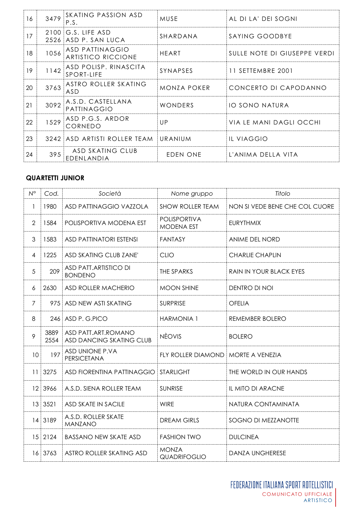| 16 | 3479 | SKATING PASSION ASD<br>P.S.                  | MUSE               | AL DI LA' DEI SOGNI          |
|----|------|----------------------------------------------|--------------------|------------------------------|
| 17 |      | $2100$ G.S. LIFE ASD<br>2526 ASD P. SAN LUCA | SHARDANA           | SAYING GOODBYE               |
| 18 | 1056 | ASD PATTINAGGIO<br>ARTISTICO RICCIONE        | <b>HEART</b>       | SULLE NOTE DI GIUSEPPE VERDI |
| 19 | 1142 | ASD POLISP. RINASCITA<br>SPORT-LIFE          | SYNAPSES           | 11 SETTEMBRE 2001            |
| 20 | 3763 | ASTRO ROLLER SKATING<br>ASD                  | <b>MONZA POKER</b> | CONCERTO DI CAPODANNO        |
| 21 | 3092 | A.S.D. CASTELLANA<br>PATTINAGGIO             | WONDERS            | <b>IO SONO NATURA</b>        |
| 22 | 1529 | ASD P.G.S. ARDOR<br>CORNEDO                  | UP                 | VIA LE MANI DAGLI OCCHI      |
| 23 |      | 3242 ASD ARTISTI ROLLER TEAM                 | URANIUM            | IL VIAGGIO                   |
| 24 | 395  | ASD SKATING CLUB<br>EDENLANDIA               | EDEN ONE           | L'ANIMA DELLA VITA           |

#### **QUARTETTI JUNIOR**

| $N^{\circ}$    | Cod.         | Società                                         | Nome gruppo                              | Titolo                         |
|----------------|--------------|-------------------------------------------------|------------------------------------------|--------------------------------|
| 1              | 1980         | ASD PATTINAGGIO VAZZOLA                         | <b>SHOW ROLLER TEAM</b>                  | NON SI VEDE BENE CHE COL CUORE |
| $\overline{2}$ | 1584         | POLISPORTIVA MODENA EST                         | <b>POLISPORTIVA</b><br><b>MODENA EST</b> | <b>EURYTHMIX</b>               |
| 3              | 1583         | <b>ASD PATTINATORI ESTENSI</b>                  | <b>FANTASY</b>                           | <b>ANIME DEL NORD</b>          |
| 4              | 1225         | ASD SKATING CLUB ZANE'                          | <b>CLIO</b>                              | <b>CHARLIE CHAPLIN</b>         |
| 5              | 209          | ASD PATT. ARTISTICO DI<br><b>BONDENO</b>        | THE SPARKS                               | RAIN IN YOUR BLACK EYES        |
| 6              | 2630         | ASD ROLLER MACHERIO                             | <b>MOON SHINE</b>                        | DENTRO DI NOI                  |
| 7              | 975          | <b>ASD NEW ASTI SKATING</b>                     | <b>SURPRISE</b>                          | <b>OFELIA</b>                  |
| 8              |              | 246 ASD P. G. PICO                              | <b>HARMONIA 1</b>                        | <b>REMEMBER BOLERO</b>         |
| 9              | 3889<br>2554 | ASD PATT.ART.ROMANO<br>ASD DANCING SKATING CLUB | <b>NÈOVIS</b>                            | <b>BOLERO</b>                  |
| 10             | 197          | ASD UNIONE P.VA<br><b>PERSICETANA</b>           | <b>FLY ROLLER DIAMOND</b>                | <b>MORTE A VENEZIA</b>         |
| 11             | 3275         | ASD FIORENTINA PATTINAGGIO                      | <b>STARLIGHT</b>                         | THE WORLD IN OUR HANDS         |
|                | 12 3966      | A.S.D. SIENA ROLLER TEAM                        | <b>SUNRISE</b>                           | IL MITO DI ARACNE              |
|                | 13 3521      | ASD SKATE IN SACILE                             | <b>WIRE</b>                              | NATURA CONTAMINATA             |
|                | 14 3189      | A.S.D. ROLLER SKATE<br><b>MANZANO</b>           | <b>DREAM GIRLS</b>                       | SOGNO DI MEZZANOTTE            |
|                | 15 2124      | <b>BASSANO NEW SKATE ASD</b>                    | <b>FASHION TWO</b>                       | <b>DULCINEA</b>                |
|                | 16 3763      | ASTRO ROLLER SKATING ASD                        | <b>MONZA</b><br><b>QUADRIFOGLIO</b>      | <b>DANZA UNGHERESE</b>         |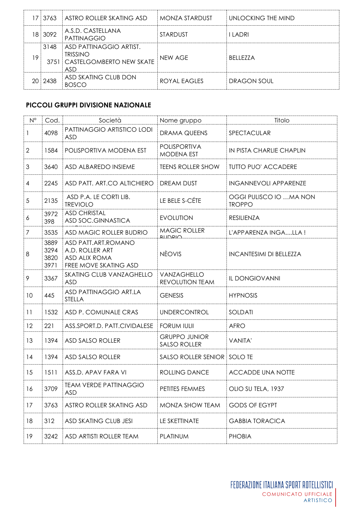|      | 3763    | ASTRO ROLLER SKATING ASD                                                                  | MONZA STARDUST  | UNLOCKING THE MIND |
|------|---------|-------------------------------------------------------------------------------------------|-----------------|--------------------|
| 18 I | 3092    | A.S.D. CASTELLANA<br><b>PATTINAGGIO</b>                                                   | <b>STARDUST</b> | <b>ILADRI</b>      |
| 19   | 3148    | ASD PATTINAGGIO ARTIST.<br><b>TRISSINO</b><br>3751 CASTELGOMBERTO NEW SKATE<br><b>ASD</b> | NFW AGF         | BFIIF77A           |
|      | 20 2438 | ASD SKATING CLUB DON<br><b>BOSCO</b>                                                      | ROYAL EAGLES    | DRAGON SOUL        |

## PICCOLI GRUPPI DIVISIONE NAZIONALE

| $N^{\circ}$    | Cod.                         | Società                                                                                 | Nome gruppo                                 | Titolo                                  |
|----------------|------------------------------|-----------------------------------------------------------------------------------------|---------------------------------------------|-----------------------------------------|
| 1              | 4098                         | PATTINAGGIO ARTISTICO LODI<br><b>ASD</b>                                                | <b>DRAMA QUEENS</b>                         | SPECTACULAR                             |
| $\mathbf{2}$   | 1584                         | POLISPORTIVA MODENA EST                                                                 | <b>POLISPORTIVA</b><br><b>MODENA EST</b>    | <b>IN PISTA CHARLIE CHAPLIN</b>         |
| 3              | 3640                         | ASD ALBAREDO INSIEME                                                                    | <b>TEENS ROLLER SHOW</b>                    | <b>TUTTO PUO' ACCADERE</b>              |
| 4              | 2245                         | ASD PATT, ART.CO ALTICHIERO                                                             | DREAM DUST                                  | <b>INGANNEVOLI APPARENZE</b>            |
| 5              | 2135                         | ASD P.A. LE CORTI LIB.<br><b>TREVIOLO</b>                                               | LE BELE S-CÉTE                              | OGGI PULISCO IO MA NON<br><b>TROPPO</b> |
| 6              | 3972<br>398                  | <b>ASD CHRISTAL</b><br><b>ASD SOC.GINNASTICA</b>                                        | <b>EVOLUTION</b>                            | <b>RESILIENZA</b>                       |
| $\overline{7}$ | 3535                         | ASD MAGIC ROLLER BUDRIO                                                                 | <b>MAGIC ROLLER</b><br><b>RIIDPIO</b>       | L'APPARENZA INGALLA!                    |
| 8              | 3889<br>3294<br>3820<br>3971 | ASD PATT.ART.ROMANO<br>A.D. ROLLER ART<br><b>ASD ALIX ROMA</b><br>FREE MOVE SKATING ASD | <b>NÈOVIS</b>                               | <b>INCANTESIMI DI BELLEZZA</b>          |
| 9              | 3367                         | SKATING CLUB VANZAGHELLO<br><b>ASD</b>                                                  | VANZAGHELLO<br><b>REVOLUTION TEAM</b>       | <b>IL DONGIOVANNI</b>                   |
| 10             | 445                          | ASD PATTINAGGIO ART.LA<br>STELLA                                                        | <b>GENESIS</b>                              | <b>HYPNOSIS</b>                         |
| 11             | 1532                         | ASD P. COMUNALE CRAS                                                                    | <b>UNDERCONTROL</b>                         | SOLDATI                                 |
| 12             | 221                          | ASS.SPORT.D. PATT.CIVIDALESE                                                            | <b>FORUM IULII</b>                          | <b>AFRO</b>                             |
| 13             | 1394                         | ASD SALSO ROLLER                                                                        | <b>GRUPPO JUNIOR</b><br><b>SALSO ROLLER</b> | VANITA'                                 |
| 14             | 1394                         | ASD SALSO ROLLER                                                                        | SALSO ROLLER SENIOR SOLO TE                 |                                         |
| 15             | 1511                         | ASS.D. APAV FARA VI                                                                     | <b>ROLLING DANCE</b>                        | <b>ACCADDE UNA NOTTE</b>                |
| 16             | 3709                         | <b>TEAM VERDE PATTINAGGIO</b><br><b>ASD</b>                                             | PETITES FEMMES                              | OLIO SU TELA, 1937                      |
| 17             | 3763                         | ASTRO ROLLER SKATING ASD                                                                | MONZA SHOW TEAM                             | <b>GODS OF EGYPT</b>                    |
| 18             | 312                          | ASD SKATING CLUB JESI                                                                   | LE SKETTINATE                               | <b>GABBIA TORACICA</b>                  |
| 19             | 3242                         | ASD ARTISTI ROLLER TEAM                                                                 | PLATINUM                                    | <b>PHOBIA</b>                           |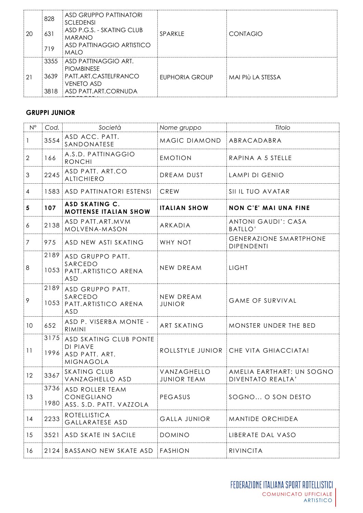| 20 | 828<br>631<br>719    | ASD GRUPPO PATTINATORI<br><b>SCLEDENSI</b><br>ASD P.G.S. - SKATING CLUB<br><b>MARANO</b><br>ASD PATTINAGGIO ARTISTICO<br><b>MAIO</b> | SPARKLE        | <b>CONTAGIO</b>   |
|----|----------------------|--------------------------------------------------------------------------------------------------------------------------------------|----------------|-------------------|
| 21 | 3355<br>3639<br>3818 | ASD PATTINAGGIO ART.<br><b>PIOMBINESE</b><br>PATT.ART.CASTELFRANCO<br><b>VENETO ASD</b><br>ASD PATT.ART.CORNUDA                      | EUPHORIA GROUP | MAI PIÙ LA STESSA |

#### **GRUPPI JUNIOR**

| $N^{\circ}$    | Cod.         | Società                                                                  | Nome gruppo                       | Titolo                                             |
|----------------|--------------|--------------------------------------------------------------------------|-----------------------------------|----------------------------------------------------|
| 1              | 3554         | ASD ACC. PATT.<br>SANDONATESE                                            | <b>MAGIC DIAMOND</b>              | ABRACADABRA                                        |
| $\overline{2}$ | 166          | A.S.D. PATTINAGGIO<br><b>RONCHI</b>                                      | <b>EMOTION</b>                    | RAPINA A 5 STELLE                                  |
| $\mathfrak{Z}$ | 2245         | ASD PATT. ART.CO<br><b>ALTICHIERO</b>                                    | DREAM DUST                        | LAMPI DI GENIO                                     |
| 4              |              | 1583 ASD PATTINATORI ESTENSI                                             | CREW                              | SII IL TUO AVATAR                                  |
| 5              | 107          | ASD SKATING C.<br><b>MOTTENSE ITALIAN SHOW</b>                           | <b>ITALIAN SHOW</b>               | <b>NON C'E' MAI UNA FINE</b>                       |
| 6              | 2138         | ASD PATT.ART.MVM<br>MOLVENA-MASON                                        | ARKADIA                           | <b>ANTONI GAUDI': CASA</b><br>BATLLO'              |
| $\overline{7}$ | 975          | ASD NEW ASTI SKATING                                                     | WHY NOT                           | <b>GENERAZIONE SMARTPHONE</b><br><b>DIPENDENTI</b> |
| 8              | 2189<br>1053 | ASD GRUPPO PATT.<br>SARCEDO<br>PATT.ARTISTICO ARENA<br>ASD               | NEW DREAM                         | LIGHT                                              |
| 9              | 2189<br>1053 | ASD GRUPPO PATT.<br>SARCEDO<br>PATT.ARTISTICO ARENA<br>ASD               | NEW DREAM<br><b>JUNIOR</b>        | <b>GAME OF SURVIVAL</b>                            |
| 10             | 652          | ASD P. VISERBA MONTE -<br>RIMINI                                         | ART SKATING                       | MONSTER UNDER THE BED                              |
| 11             | 3175<br>1996 | ASD SKATING CLUB PONTE<br>DI PIAVE<br>ASD PATT. ART.<br><b>MIGNAGOLA</b> |                                   | ROLLSTYLE JUNIOR CHE VITA GHIACCIATA!              |
| 12             | 3367         | <b>SKATING CLUB</b><br>VANZAGHELLO ASD                                   | VANZAGHELLO<br><b>JUNIOR TEAM</b> | AMELIA EARTHART: UN SOGNO<br>DIVENTATO REALTA'     |
| 13             | 3736<br>1980 | ASD ROLLER TEAM<br>CONEGLIANO<br>ASS. S.D. PATT. VAZZOLA                 | PEGASUS                           | SOGNO O SON DESTO                                  |
| 14             | 2233         | <b>ROTELLISTICA</b><br>GALLARATESE ASD                                   | <b>GALLA JUNIOR</b>               | <b>MANTIDE ORCHIDEA</b>                            |
| 15             | 3521         | ASD SKATE IN SACILE                                                      | <b>DOMINO</b>                     | LIBERATE DAL VASO                                  |
| 16             |              | 2124 BASSANO NEW SKATE ASD                                               | <b>FASHION</b>                    | <b>RIVINCITA</b>                                   |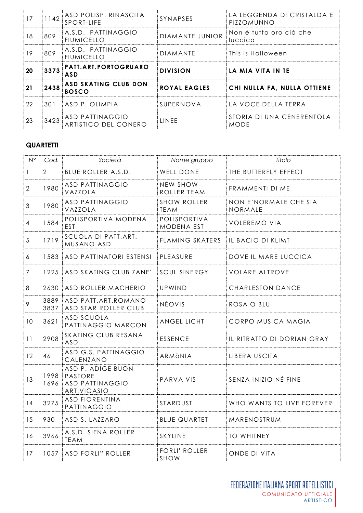| 17 | 1142 | ASD POLISP. RINASCITA<br>SPORT-LIFE            | SYNAPSES            | LA LEGGENDA DI CRISTALDA E<br>PIZZOMUNNO |
|----|------|------------------------------------------------|---------------------|------------------------------------------|
| 18 | 809  | A.S.D. PATTINAGGIO<br><b>FIUMICELLO</b>        | DIAMANTE JUNIOR     | Non è tutto oro ciò che<br>luccica       |
| 19 | 809  | A.S.D. PATTINAGGIO<br><b>FIUMICELLO</b>        | <b>DIAMANTE</b>     | This is Halloween                        |
| 20 | 3373 | PATT.ART.PORTOGRUARO<br><b>ASD</b>             | <b>DIVISION</b>     | LA MIA VITA IN TE                        |
| 21 | 2438 | <b>ASD SKATING CLUB DON</b><br><b>BOSCO</b>    | <b>ROYAL EAGLES</b> | CHI NULLA FA, NULLA OTTIENE              |
| 22 | 301  | ASD P. OLIMPIA                                 | SUPERNOVA           | LA VOCE DELLA TERRA                      |
| 23 | 3423 | <b>ASD PATTINAGGIO</b><br>ARTISTICO DEL CONERO | LINEE               | STORIA DI UNA CENERENTOLA<br><b>MODE</b> |

## **QUARTETTI**

| $N^{\circ}$       | Cod.           | Società                                                                      | Nome gruppo                       | Titolo                           |
|-------------------|----------------|------------------------------------------------------------------------------|-----------------------------------|----------------------------------|
| $\mathbf{1}$      | $\overline{2}$ | BLUE ROLLER A.S.D.                                                           | WELL DONE                         | THE BUTTERFLY EFFECT             |
| $\overline{2}$    | 1980           | <b>ASD PATTINAGGIO</b><br>VAZZOLA                                            | NEW SHOW<br>ROLLER TEAM           | FRAMMENTI DI ME                  |
| 3                 | 1980           | <b>ASD PATTINAGGIO</b><br>VAZZOLA                                            | <b>SHOW ROLLER</b><br><b>TEAM</b> | NON E'NORMALE CHE SIA<br>NORMALE |
| 4                 | 1584           | POLISPORTIVA MODENA<br>EST                                                   | POLISPORTIVA<br>MODENA EST        | voleremo via                     |
| 5                 | 1719           | SCUOLA DI PATT.ART.<br>MUSANO ASD                                            | FLAMING SKATERS                   | IL BACIO DI KLIMT                |
| 6                 | 1583           | ASD PATTINATORI ESTENSI                                                      | PLEASURE                          | DOVE IL MARE LUCCICA             |
| $\overline{7}$    | 1225           | ASD SKATING CLUB ZANE'                                                       | SOUL SINERGY                      | <b>VOLARE ALTROVE</b>            |
| 8                 | 2630           | ASD ROLLER MACHERIO                                                          | UPWIND                            | CHARLESTON DANCE                 |
| 9                 | 3889<br>3837   | ASD PATT.ART.ROMANO<br>ASD STAR ROLLER CLUB                                  | <b>NÈOVIS</b>                     | ROSA O BLU                       |
| 10                | 3621           | <b>ASD SCUOLA</b><br>PATTINAGGIO MARCON                                      | ANGEL LICHT                       | CORPO MUSICA MAGIA               |
| 11                | 2908           | SKATING CLUB RESANA<br><b>ASD</b>                                            | <b>ESSENCE</b>                    | IL RITRATTO DI DORIAN GRAY       |
| $12 \overline{ }$ | 46             | ASD G.S. PATTINAGGIO<br>CALENZANO                                            | ARMÒNIA                           | LIBERA USCITA                    |
| 13                | 1998<br>1696   | ASD P. ADIGE BUON<br><b>PASTORE</b><br><b>ASD PATTINAGGIO</b><br>ART.VIGASIO | PARVA VIS                         | SENZA INIZIO NÉ FINE             |
| 14                | 3275           | <b>ASD FIORENTINA</b><br>PATTINAGGIO                                         | STARDUST                          | WHO WANTS TO LIVE FOREVER        |
| 15                | 930            | ASD S. LAZZARO                                                               | <b>BLUE QUARTET</b>               | MARENOSTRUM                      |
| 16                | 3966           | A.S.D. SIENA ROLLER<br><b>TEAM</b>                                           | SKYLINE                           | <b>TO WHITNEY</b>                |
| 17                | 1057           | <b>ASD FORLI" ROLLER</b>                                                     | <b>FORLI' ROLLER</b><br>SHOW      | ONDE DI VITA                     |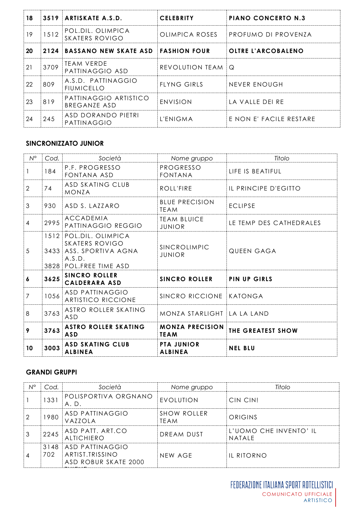| 18 |      | 3519 ARTISKATE A.S.D.                      | <b>CELEBRITY</b>  | <b>PIANO CONCERTO N.3</b> |
|----|------|--------------------------------------------|-------------------|---------------------------|
| 19 | 1512 | POL.DIL. OLIMPICA<br><b>SKATERS ROVIGO</b> | OLIMPICA ROSES    | PROFUMO DI PROVENZA       |
| 20 |      | 2124 BASSANO NEW SKATE ASD FASHION FOUR    |                   | <b>OLTRE L'ARCOBALENO</b> |
| 21 | 3709 | <b>TEAM VERDE</b><br>PATTINAGGIO ASD       | REVOLUTION TEAM Q |                           |
| 22 | 809  | A.S.D. PATTINAGGIO<br><b>FIUMICELLO</b>    | FLYNG GIRLS       | NEVER ENOUGH              |
| 23 | 819  | PATTINAGGIO ARTISTICO<br>BREGANZE ASD      | <b>ENVISION</b>   | LA VALLE DEI RE           |
| 24 | 245  | ASD DORANDO PIETRI<br>PATTINAGGIO          | L'ENIGMA          | E NON E' FACILE RESTARE   |

#### **SINCRONIZZATO JUNIOR**

| $N^{\circ}$    | Cod.         | Società                                                                                              | Nome gruppo                           | Titolo                  |
|----------------|--------------|------------------------------------------------------------------------------------------------------|---------------------------------------|-------------------------|
| $\mathbf{1}$   | 184          | P.F. PROGRESSO<br>FONTANA ASD                                                                        | PROGRESSO<br><b>FONTANA</b>           | LIFE IS BEATIFUL        |
| $\overline{2}$ | 74           | ASD SKATING CLUB<br>MONZA                                                                            | ROLL'FIRE                             | IL PRINCIPE D'EGITTO    |
| 3              | 930          | ASD S. LAZZARO                                                                                       | <b>BLUE PRECISION</b><br><b>TEAM</b>  | <b>ECLIPSE</b>          |
| 4              | 2995         | <b>ACCADEMIA</b><br>PATTINAGGIO REGGIO                                                               | <b>TEAM BLUICE</b><br><b>JUNIOR</b>   | LE TEMP DES CATHEDRALES |
| 5              | 3433<br>3828 | 1512 POL.DIL. OLIMPICA<br><b>SKATERS ROVIGO</b><br>ASS. SPORTIVA AGNA<br>A.S.D.<br>POL.FREE TIME ASD | SINCROLIMPIC<br><b>JUNIOR</b>         | QUEEN GAGA              |
| 6              | 3625         | <b>SINCRO ROLLER</b><br><b>CALDERARA ASD</b>                                                         | <b>SINCRO ROLLER</b>                  | <b>PIN UP GIRLS</b>     |
| $\overline{7}$ | 1056         | <b>ASD PATTINAGGIO</b><br><b>ARTISTICO RICCIONE</b>                                                  | SINCRO RICCIONE KATONGA               |                         |
| 8              | 3763         | ASTRO ROLLER SKATING<br>ASD                                                                          | MONZA STARLIGHT LA LA LAND            |                         |
| 9              | 3763         | <b>ASTRO ROLLER SKATING</b><br><b>ASD</b>                                                            | <b>MONZA PRECISION</b><br><b>TEAM</b> | THE GREATEST SHOW       |
| 10             | 3003         | <b>ASD SKATING CLUB</b><br><b>ALBINEA</b>                                                            | <b>PTA JUNIOR</b><br><b>ALBINEA</b>   | <b>NEL BLU</b>          |

#### **GRANDI GRUPPI**

| Ν° | Cod.        | Società                                                           | Nome gruppo                | Titolo                                 |
|----|-------------|-------------------------------------------------------------------|----------------------------|----------------------------------------|
|    | 1331        | POLISPORTIVA ORGNANO<br>A. D.                                     | EVOLUTION                  | CIN CIN!                               |
| 2  | 1980        | ASD PATTINAGGIO<br>VAZZOLA                                        | SHOW ROLLER<br><b>TEAM</b> | ORIGINS                                |
| 3  | 2245        | ASD PATT. ART.CO<br><b>ALTICHIERO</b>                             | DREAM DUST                 | L'UOMO CHE INVENTO'IL<br><b>NATALE</b> |
| 4  | 3148<br>702 | <b>ASD PATTINAGGIO</b><br>ARTIST.TRISSINO<br>ASD ROBUR SKATE 2000 | NEW AGE                    | IL RITORNO                             |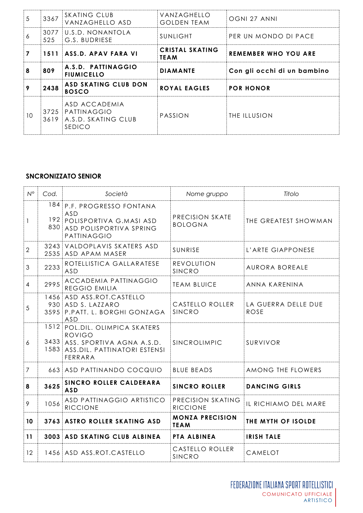| 5  | 3367         | SKATING CLUB<br>VANZAGHELLO ASD                               | VANZAGHELLO<br><b>GOLDEN TEAM</b>     | OGNI 27 ANNI                |
|----|--------------|---------------------------------------------------------------|---------------------------------------|-----------------------------|
| 6  | 3077<br>525  | U.S.D. NONANTOLA<br>G.S. BUDRIESE                             | SUNLIGHT                              | PER UN MONDO DI PACE        |
|    | 1511         | ASS.D. APAV FARA VI                                           | <b>CRISTAL SKATING</b><br><b>TEAM</b> | <b>REMEMBER WHO YOU ARE</b> |
| 8  | 809          | A.S.D. PATTINAGGIO<br><b>FIUMICELLO</b>                       | <b>DIAMANTE</b>                       | Con gli occhi di un bambino |
| 9  | 2438         | <b>ASD SKATING CLUB DON</b><br><b>BOSCO</b>                   | <b>ROYAL EAGLES</b>                   | <b>POR HONOR</b>            |
| 10 | 3725<br>3619 | ASD ACCADEMIA<br>PATTINAGGIO<br>A.S.D. SKATING CLUB<br>SEDICO | PASSION                               | THE ILLUSION                |

#### **SNCRONIZZATO SENIOR**

| $N^{\circ}$    | Cod.                | Società                                                                                                                 | Nome gruppo                           | Titolo                             |
|----------------|---------------------|-------------------------------------------------------------------------------------------------------------------------|---------------------------------------|------------------------------------|
| 1              | 192<br>830          | 184 P.F. PROGRESSO FONTANA<br>ASD<br>POLISPORTIVA G.MASI ASD<br>ASD POLISPORTIVA SPRING<br>PATTINAGGIO                  | PRECISION SKATE<br><b>BOLOGNA</b>     | THE GREATEST SHOWMAN               |
| $\overline{2}$ | 3243                | VALDOPLAVIS SKATERS ASD<br>2535 ASD APAM MASER                                                                          | SUNRISE                               | L'ARTE GIAPPONESE                  |
| 3              | 2233                | ROTELLISTICA GALLARATESE<br><b>ASD</b>                                                                                  | REVOLUTION<br>SINCRO                  | AURORA BOREALE                     |
| $\overline{4}$ | 2995                | ACCADEMIA PATTINAGGIO<br><b>REGGIO EMILIA</b>                                                                           | <b>TEAM BLUICE</b>                    | ANNA KARENINA                      |
| 5              | 1456<br>930<br>3595 | ASD ASS.ROT.CASTELLO<br>ASD S. LAZZARO<br>P.PATT. L. BORGHI GONZAGA<br>ASD                                              | CASTELLO ROLLER<br>SINCRO             | LA GUERRA DELLE DUE<br><b>ROSE</b> |
| 6              | 1512<br>1583        | POL.DIL. OLIMPICA SKATERS<br><b>ROVIGO</b><br>3433 ASS. SPORTIVA AGNA A.S.D.<br>ASS.DIL. PATTINATORI ESTENSI<br>FERRARA | SINCROLIMPIC                          | SURVIVOR                           |
| $\overline{7}$ |                     | 663 ASD PATTINANDO COCQUIO                                                                                              | <b>BLUE BEADS</b>                     | AMONG THE FLOWERS                  |
| 8              | 3625                | SINCRO ROLLER CALDERARA<br><b>ASD</b>                                                                                   | <b>SINCRO ROLLER</b>                  | <b>DANCING GIRLS</b>               |
| 9              | 1056                | ASD PATTINAGGIO ARTISTICO<br><b>RICCIONE</b>                                                                            | PRECISION SKATING<br><b>RICCIONE</b>  | IL RICHIAMO DEL MARE               |
| 10             |                     | 3763 ASTRO ROLLER SKATING ASD                                                                                           | <b>MONZA PRECISION</b><br><b>TEAM</b> | THE MYTH OF ISOLDE                 |
| 11             |                     | <b>3003 ASD SKATING CLUB ALBINEA</b>                                                                                    | PTA ALBINEA                           | <b>IRISH TALE</b>                  |
| 12             |                     | 1456 ASD ASS.ROT.CASTELLO                                                                                               | CASTELLO ROLLER<br>SINCRO             | CAMELOT                            |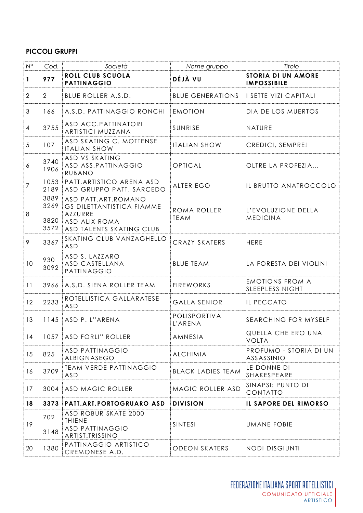## **PICCOLI GRUPPI**

| $\mathsf{N}^\circ$ | Cod.                         | Società                                                                                                         | Nome gruppo                | Titolo                                    |
|--------------------|------------------------------|-----------------------------------------------------------------------------------------------------------------|----------------------------|-------------------------------------------|
| $\mathbf{1}$       | 977                          | <b>ROLL CLUB SCUOLA</b><br><b>PATTINAGGIO</b>                                                                   | DÉJÀ VU                    | STORIA DI UN AMORE<br><b>IMPOSSIBILE</b>  |
| $\overline{2}$     | $\overline{2}$               | BLUE ROLLER A.S.D.                                                                                              | <b>BLUE GENERATIONS</b>    | I SETTE VIZI CAPITALI                     |
| 3                  | 166                          | A.S.D. PATTINAGGIO RONCHI                                                                                       | <b>EMOTION</b>             | DIA DE LOS MUERTOS                        |
| $\overline{4}$     | 3755                         | ASD ACC.PATTINATORI<br>ARTISTICI MUZZANA                                                                        | SUNRISE                    | NATURE                                    |
| $\sqrt{5}$         | 107                          | ASD SKATING C. MOTTENSE<br><b>ITALIAN SHOW</b>                                                                  | <b>ITALIAN SHOW</b>        | CREDICI, SEMPRE!                          |
| 6                  | 3740<br>1906                 | ASD VS SKATING<br>ASD ASS.PATTINAGGIO<br>RUBANO                                                                 | OPTICAL                    | OLTRE LA PROFEZIA                         |
| $\overline{7}$     | 1053<br>2189                 | PATT.ARTISTICO ARENA ASD<br>ASD GRUPPO PATT. SARCEDO                                                            | ALTER EGO                  | IL BRUTTO ANATROCCOLO                     |
| 8                  | 3889<br>3269<br>3820<br>3572 | ASD PATT.ART.ROMANO<br><b>GS DILETTANTISTICA FIAMME</b><br>AZZURRE<br>ASD ALIX ROMA<br>ASD TALENTS SKATING CLUB | ROMA ROLLER<br><b>TEAM</b> | L'EVOLUZIONE DELLA<br><b>MEDICINA</b>     |
| 9                  | 3367                         | SKATING CLUB VANZAGHELLO<br><b>ASD</b>                                                                          | <b>CRAZY SKATERS</b>       | <b>HERE</b>                               |
| 10                 | 930<br>3092                  | ASD S. LAZZARO<br>ASD CASTELLANA<br>PATTINAGGIO                                                                 | <b>BLUE TEAM</b>           | LA FORESTA DEI VIOLINI                    |
| 11                 | 3966                         | A.S.D. SIENA ROLLER TEAM                                                                                        | <b>FIREWORKS</b>           | <b>EMOTIONS FROM A</b><br>SLEEPLESS NIGHT |
| 12                 | 2233                         | ROTELLISTICA GALLARATESE<br>ASD                                                                                 | <b>GALLA SENIOR</b>        | IL PECCATO                                |
| 13                 | 1145                         | ASD P. L"ARENA                                                                                                  | POLISPORTIVA<br>L'ARENA    | SEARCHING FOR MYSELF                      |
| 14                 | 1057                         | <b>ASD FORLI" ROLLER</b>                                                                                        | AMNESIA                    | QUELLA CHE ERO UNA<br><b>VOLTA</b>        |
| 15                 | 825                          | ASD PATTINAGGIO<br><b>ALBIGNASEGO</b>                                                                           | <b>ALCHIMIA</b>            | PROFUMO - STORIA DI UN<br>ASSASSINIO      |
| 16                 | 3709                         | <b>TEAM VERDE PATTINAGGIO</b><br><b>ASD</b>                                                                     | <b>BLACK LADIES TEAM</b>   | LE DONNE DI<br>SHAKESPEARE                |
| 17                 | 3004                         | <b>ASD MAGIC ROLLER</b>                                                                                         | MAGIC ROLLER ASD           | SINAPSI: PUNTO DI<br>CONTATTO             |
| 18                 | 3373                         | PATT.ART.PORTOGRUARO ASD                                                                                        | <b>DIVISION</b>            | IL SAPORE DEL RIMORSO                     |
| 19                 | 702<br>3148                  | ASD ROBUR SKATE 2000<br><b>THIENE</b><br><b>ASD PATTINAGGIO</b><br>ARTIST.TRISSINO                              | SINTESI                    | <b>UMANE FOBIE</b>                        |
| 20                 | 1380                         | PATTINAGGIO ARTISTICO<br>CREMONESE A.D.                                                                         | <b>ODEON SKATERS</b>       | <b>NODI DISGIUNTI</b>                     |